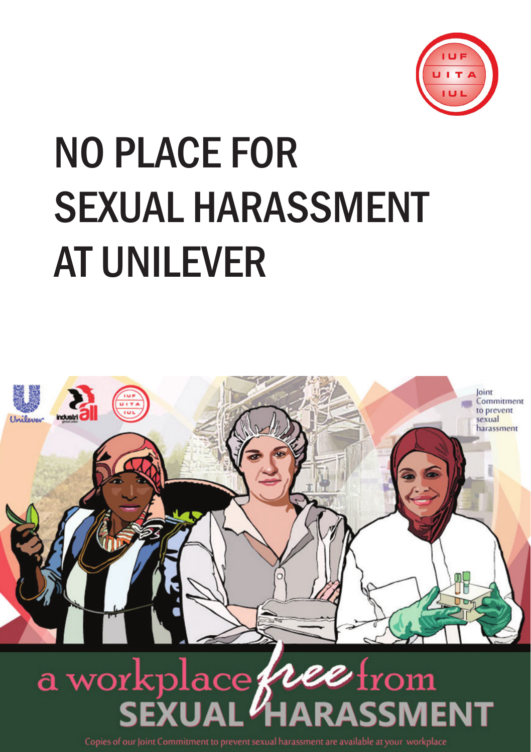

# No place for sexual harassment at Unilever



Copies of our Joint Commitment to prevent sexual harassment are available at your workplace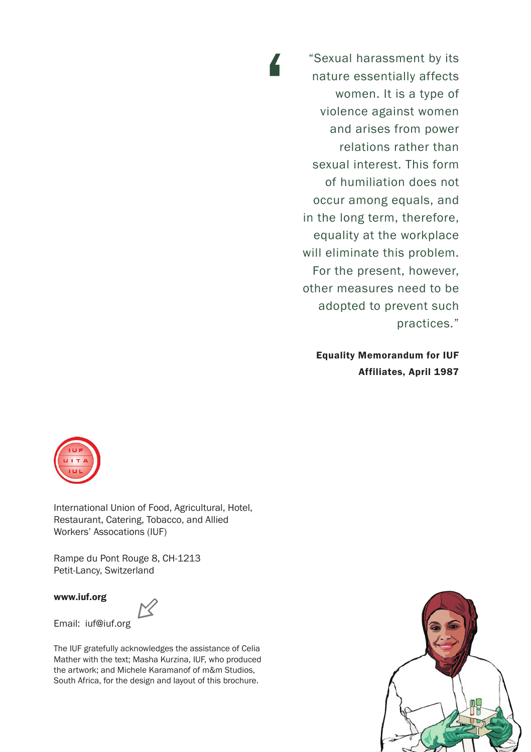"Sexual harassment by its nature essentially affects women. It is a type of violence against women and arises from power relations rather than sexual interest. This form of humiliation does not occur among equals, and in the long term, therefore, equality at the workplace will eliminate this problem. For the present, however, other measures need to be adopted to prevent such practices."

'

Equality Memorandum for IUF Affiliates, April 1987



International Union of Food, Agricultural, Hotel, Restaurant, Catering, Tobacco, and Allied Workers' Assocations (IUF)

Rampe du Pont Rouge 8, CH-1213 Petit-Lancy, Switzerland

www.iuf.org

Email: iuf@iuf.org

The IUF gratefully acknowledges the assistance of Celia

Mather with the text; Masha Kurzina, IUF, who produced the artwork; and Michele Karamanof of m&m Studios, South Africa, for the design and layout of this brochure.

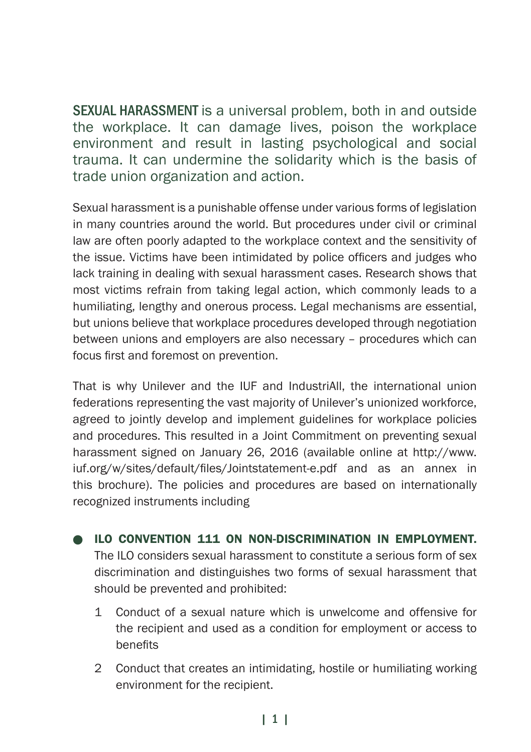SEXUAL HARASSMENT is a universal problem, both in and outside the workplace. It can damage lives, poison the workplace environment and result in lasting psychological and social trauma. It can undermine the solidarity which is the basis of trade union organization and action.

Sexual harassment is a punishable offense under various forms of legislation in many countries around the world. But procedures under civil or criminal law are often poorly adapted to the workplace context and the sensitivity of the issue. Victims have been intimidated by police officers and judges who lack training in dealing with sexual harassment cases. Research shows that most victims refrain from taking legal action, which commonly leads to a humiliating, lengthy and onerous process. Legal mechanisms are essential, but unions believe that workplace procedures developed through negotiation between unions and employers are also necessary – procedures which can focus first and foremost on prevention.

That is why Unilever and the IUF and IndustriAll, the international union federations representing the vast majority of Unilever's unionized workforce, agreed to jointly develop and implement guidelines for workplace policies and procedures. This resulted in a Joint Commitment on preventing sexual harassment signed on January 26, 2016 (available online at http://www. iuf.org/w/sites/default/files/Jointstatement-e.pdf and as an annex in this brochure). The policies and procedures are based on internationally recognized instruments including

- ILO CONVENTION 111 ON NON-DISCRIMINATION IN EMPLOYMENT. The ILO considers sexual harassment to constitute a serious form of sex discrimination and distinguishes two forms of sexual harassment that should be prevented and prohibited:
	- 1 Conduct of a sexual nature which is unwelcome and offensive for the recipient and used as a condition for employment or access to benefits
	- 2 Conduct that creates an intimidating, hostile or humiliating working environment for the recipient.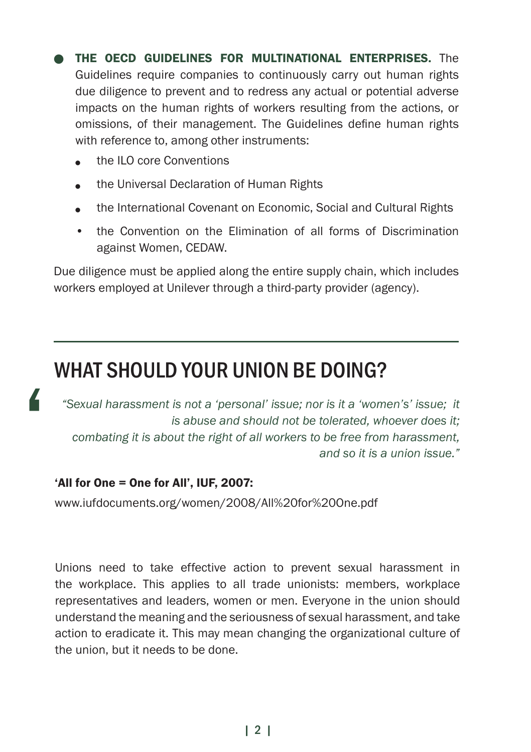THE OECD GUIDELINES FOR MULTINATIONAL ENTERPRISES. The Guidelines require companies to continuously carry out human rights due diligence to prevent and to redress any actual or potential adverse impacts on the human rights of workers resulting from the actions, or omissions, of their management. The Guidelines define human rights with reference to, among other instruments:

- <sup>l</sup> the ILO core Conventions
- the Universal Declaration of Human Rights
- the International Covenant on Economic, Social and Cultural Rights
- the Convention on the Elimination of all forms of Discrimination against Women, CEDAW.

Due diligence must be applied along the entire supply chain, which includes workers employed at Unilever through a third-party provider (agency).

## What should your union be doing?

*"Sexual harassment is not a 'personal' issue; nor is it a 'women's' issue; it is abuse and should not be tolerated, whoever does it; combating it is about the right of all workers to be free from harassment, and so it is a union issue."*

#### 'All for One = One for All', IUF, 2007:

 $\overline{\mathbf{a}}$ 

www.iufdocuments.org/women/2008/All%20for%20One.pdf

Unions need to take effective action to prevent sexual harassment in the workplace. This applies to all trade unionists: members, workplace representatives and leaders, women or men. Everyone in the union should understand the meaning and the seriousness of sexual harassment, and take action to eradicate it. This may mean changing the organizational culture of the union, but it needs to be done.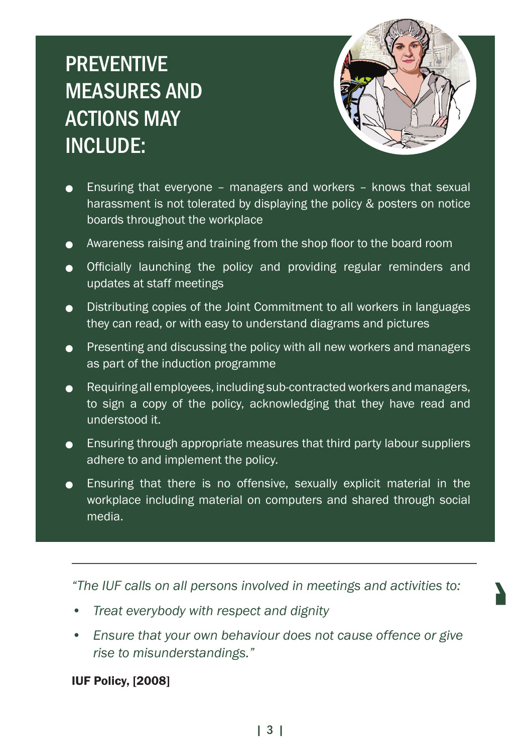# **PREVENTIVE** measures and actions may include:



'

- **Ensuring that everyone managers and workers knows that sexual** harassment is not tolerated by displaying the policy & posters on notice boards throughout the workplace
- **•** Awareness raising and training from the shop floor to the board room
- **.** Officially launching the policy and providing regular reminders and updates at staff meetings
- $\bullet$  Distributing copies of the Joint Commitment to all workers in languages they can read, or with easy to understand diagrams and pictures
- $\bullet$  Presenting and discussing the policy with all new workers and managers as part of the induction programme
- $\bullet$  Requiring all employees, including sub-contracted workers and managers, to sign a copy of the policy, acknowledging that they have read and understood it.
- $\bullet$  Ensuring through appropriate measures that third party labour suppliers adhere to and implement the policy.
- **Ensuring that there is no offensive, sexually explicit material in the** workplace including material on computers and shared through social media.

*"The IUF calls on all persons involved in meetings and activities to:*

- *• Treat everybody with respect and dignity*
- *• Ensure that your own behaviour does not cause offence or give rise to misunderstandings."*

IUF Policy, [2008]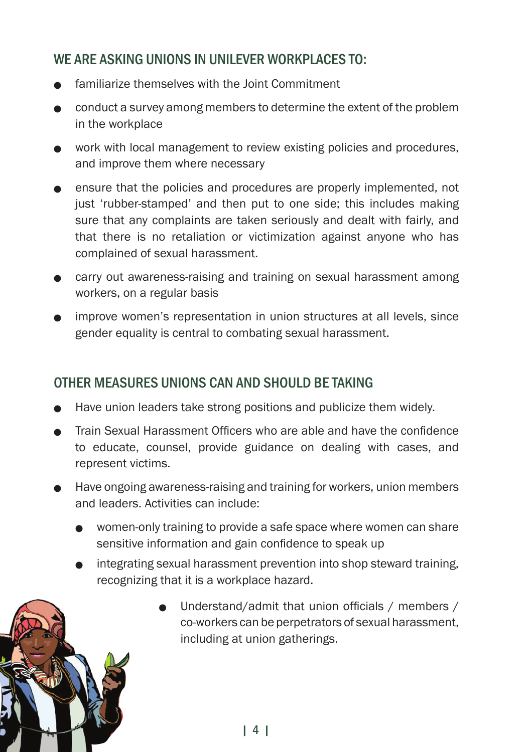## WE ARE ASKING UNIONS IN UNIL EVER WORKPLACES TO:

- familiarize themselves with the Joint Commitment
- <sup>l</sup> conduct a survey among members to determine the extent of the problem in the workplace
- work with local management to review existing policies and procedures, and improve them where necessary
- $\bullet$  ensure that the policies and procedures are properly implemented, not just 'rubber-stamped' and then put to one side; this includes making sure that any complaints are taken seriously and dealt with fairly, and that there is no retaliation or victimization against anyone who has complained of sexual harassment.
- **.** carry out awareness-raising and training on sexual harassment among workers, on a regular basis
- improve women's representation in union structures at all levels, since gender equality is central to combating sexual harassment.

### Other measures unions can and should be taking

- Have union leaders take strong positions and publicize them widely.
- <sup>l</sup> Train Sexual Harassment Officers who are able and have the confidence to educate, counsel, provide guidance on dealing with cases, and represent victims.
- Have ongoing awareness-raising and training for workers, union members and leaders. Activities can include:
	- women-only training to provide a safe space where women can share sensitive information and gain confidence to speak up
	- integrating sexual harassment prevention into shop steward training. recognizing that it is a workplace hazard.
		- <sup>l</sup> Understand/admit that union officials / members / co-workers can be perpetrators of sexual harassment, including at union gatherings.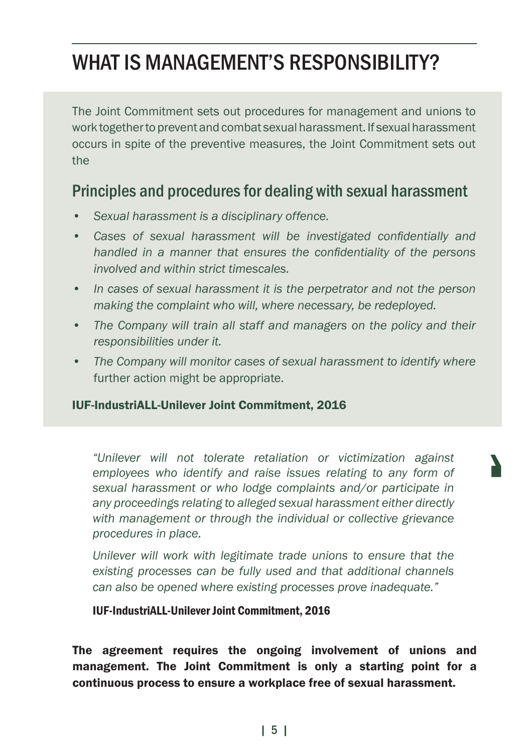## WHAT IS MANAGEMENT'S RESPONSIBILITY?

The Joint Commitment sets out procedures for management and unions to work together to prevent and combat sexual harassment. If sexual harassment occurs in spite of the preventive measures, the Joint Commitment sets out the

## Principles and procedures for dealing with sexual harassment

- *• Sexual harassment is a disciplinary offence.*
- *• Cases of sexual harassment will be investigated confidentially and handled in a manner that ensures the confidentiality of the persons involved and within strict timescales.*
- *• In cases of sexual harassment it is the perpetrator and not the person making the complaint who will, where necessary, be redeployed.*
- *• The Company will train all staff and managers on the policy and their responsibilities under it.*
- *• The Company will monitor cases of sexual harassment to identify where*  further action might be appropriate.

#### IUF-IndustriALL-Unilever Joint Commitment, 2016

*"Unilever will not tolerate retaliation or victimization against employees who identify and raise issues relating to any form of sexual harassment or who lodge complaints and/or participate in any proceedings relating to alleged sexual harassment either directly with management or through the individual or collective grievance procedures in place.* 

'

*Unilever will work with legitimate trade unions to ensure that the existing processes can be fully used and that additional channels can also be opened where existing processes prove inadequate."*

#### IUF-IndustriALL-Unilever Joint Commitment, 2016

The agreement requires the ongoing involvement of unions and management. The Joint Commitment is only a starting point for a continuous process to ensure a workplace free of sexual harassment.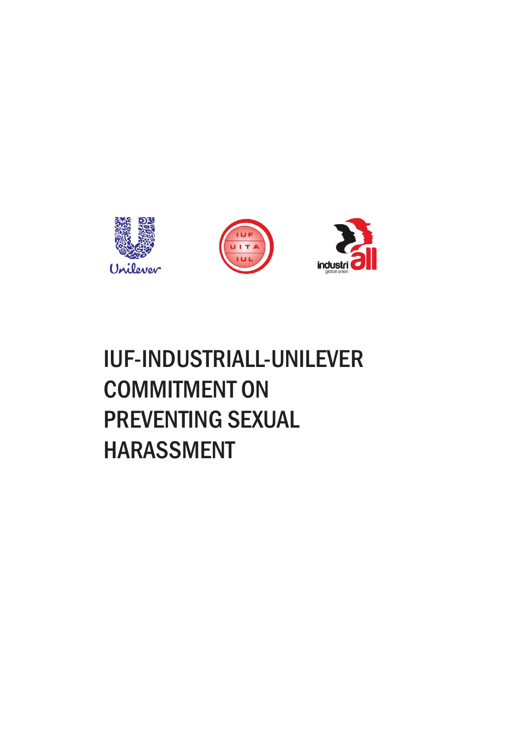

# IUF-IndustriAll-Unilever Commitment on preventing sexual **HARASSMENT**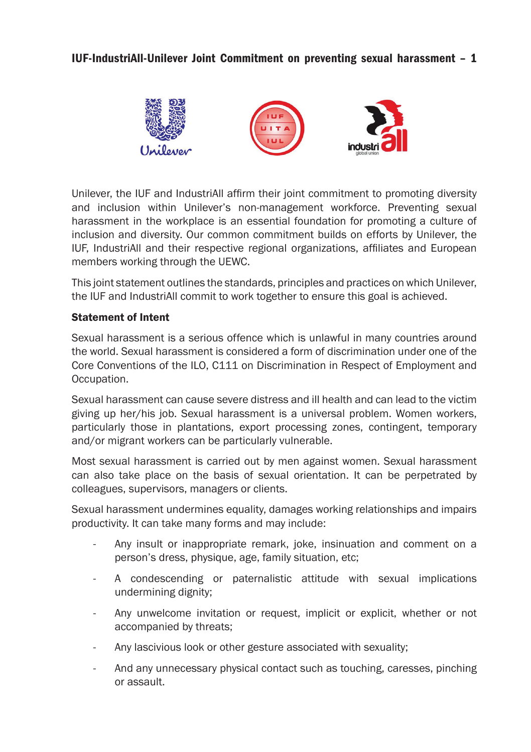#### IUF-IndustriAll-Unilever Joint Commitment on preventing sexual harassment – 1



Unilever, the IUF and IndustriAll affirm their joint commitment to promoting diversity and inclusion within Unilever's non-management workforce. Preventing sexual harassment in the workplace is an essential foundation for promoting a culture of inclusion and diversity. Our common commitment builds on efforts by Unilever, the IUF, IndustriAll and their respective regional organizations, affiliates and European members working through the UEWC.

This joint statement outlines the standards, principles and practices on which Unilever, the IUF and IndustriAll commit to work together to ensure this goal is achieved.

#### Statement of Intent

Sexual harassment is a serious offence which is unlawful in many countries around the world. Sexual harassment is considered a form of discrimination under one of the Core Conventions of the ILO, C111 on Discrimination in Respect of Employment and Occupation.

Sexual harassment can cause severe distress and ill health and can lead to the victim giving up her/his job. Sexual harassment is a universal problem. Women workers, particularly those in plantations, export processing zones, contingent, temporary and/or migrant workers can be particularly vulnerable.

Most sexual harassment is carried out by men against women. Sexual harassment can also take place on the basis of sexual orientation. It can be perpetrated by colleagues, supervisors, managers or clients.

Sexual harassment undermines equality, damages working relationships and impairs productivity. It can take many forms and may include:

- Any insult or inappropriate remark, joke, insinuation and comment on a person's dress, physique, age, family situation, etc;
- A condescending or paternalistic attitude with sexual implications undermining dignity;
- Any unwelcome invitation or request, implicit or explicit, whether or not accompanied by threats;
- Any lascivious look or other gesture associated with sexuality;
- And any unnecessary physical contact such as touching, caresses, pinching or assault.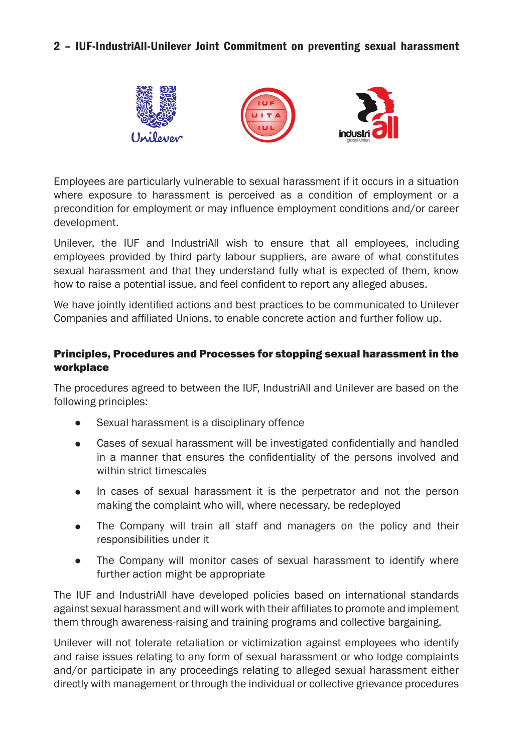#### 2 – IUF-IndustriAll-Unilever Joint Commitment on preventing sexual harassment



Employees are particularly vulnerable to sexual harassment if it occurs in a situation where exposure to harassment is perceived as a condition of employment or a precondition for employment or may influence employment conditions and/or career development.

Unilever, the IUF and IndustriAll wish to ensure that all employees, including employees provided by third party labour suppliers, are aware of what constitutes sexual harassment and that they understand fully what is expected of them, know how to raise a potential issue, and feel confident to report any alleged abuses.

We have jointly identified actions and best practices to be communicated to Unilever Companies and affiliated Unions, to enable concrete action and further follow up.

#### Principles, Procedures and Processes for stopping sexual harassment in the workplace

The procedures agreed to between the IUF, IndustriAll and Unilever are based on the following principles:

- Sexual harassment is a disciplinary offence
- Cases of sexual harassment will be investigated confidentially and handled in a manner that ensures the confidentiality of the persons involved and within strict timescales
- In cases of sexual harassment it is the perpetrator and not the person making the complaint who will, where necessary, be redeployed
- The Company will train all staff and managers on the policy and their responsibilities under it
- The Company will monitor cases of sexual harassment to identify where further action might be appropriate

The IUF and IndustriAll have developed policies based on international standards against sexual harassment and will work with their affiliates to promote and implement them through awareness-raising and training programs and collective bargaining.

Unilever will not tolerate retaliation or victimization against employees who identify and raise issues relating to any form of sexual harassment or who lodge complaints and/or participate in any proceedings relating to alleged sexual harassment either directly with management or through the individual or collective grievance procedures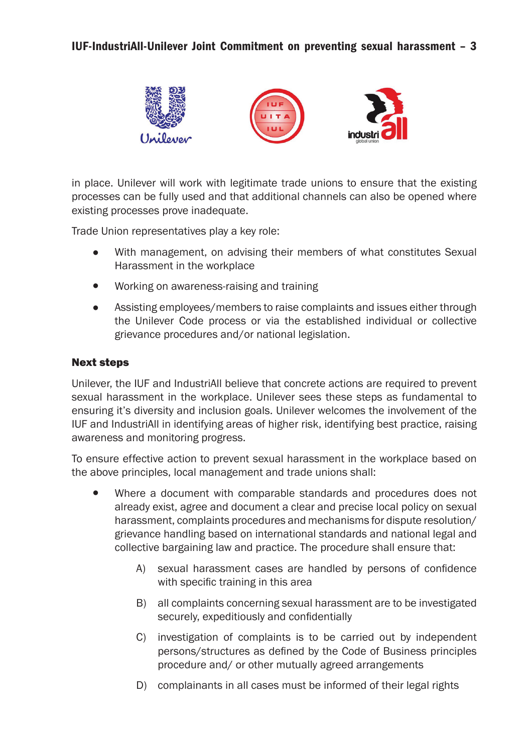#### IUF-IndustriAll-Unilever Joint Commitment on preventing sexual harassment – 3



in place. Unilever will work with legitimate trade unions to ensure that the existing processes can be fully used and that additional channels can also be opened where existing processes prove inadequate.

Trade Union representatives play a key role:

- <sup>l</sup> With management, on advising their members of what constitutes Sexual Harassment in the workplace
- Working on awareness-raising and training
- Assisting employees/members to raise complaints and issues either through the Unilever Code process or via the established individual or collective grievance procedures and/or national legislation.

#### Next steps

Unilever, the IUF and IndustriAll believe that concrete actions are required to prevent sexual harassment in the workplace. Unilever sees these steps as fundamental to ensuring it's diversity and inclusion goals. Unilever welcomes the involvement of the IUF and IndustriAll in identifying areas of higher risk, identifying best practice, raising awareness and monitoring progress.

To ensure effective action to prevent sexual harassment in the workplace based on the above principles, local management and trade unions shall:

- Where a document with comparable standards and procedures does not already exist, agree and document a clear and precise local policy on sexual harassment, complaints procedures and mechanisms for dispute resolution/ grievance handling based on international standards and national legal and collective bargaining law and practice. The procedure shall ensure that:
	- A) sexual harassment cases are handled by persons of confidence with specific training in this area
	- B) all complaints concerning sexual harassment are to be investigated securely, expeditiously and confidentially
	- C) investigation of complaints is to be carried out by independent persons/structures as defined by the Code of Business principles procedure and/ or other mutually agreed arrangements
	- D) complainants in all cases must be informed of their legal rights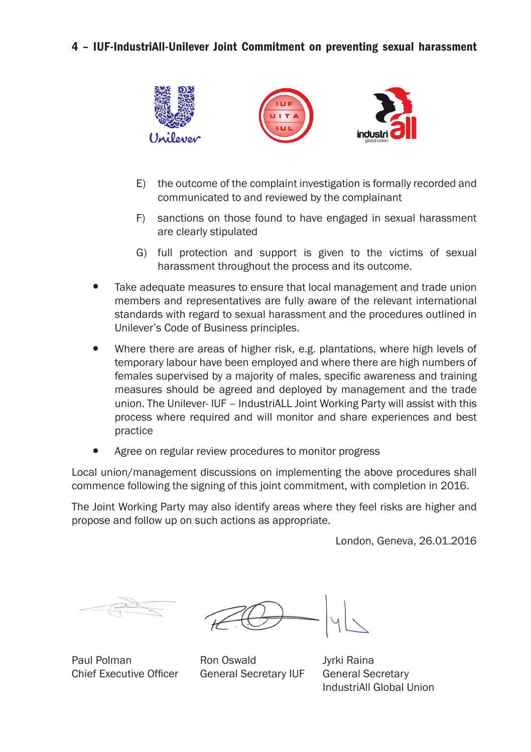#### 4 – IUF-IndustriAll-Unilever Joint Commitment on preventing sexual harassment



- E) the outcome of the complaint investigation is formally recorded and communicated to and reviewed by the complainant
- F) sanctions on those found to have engaged in sexual harassment are clearly stipulated
- G) full protection and support is given to the victims of sexual harassment throughout the process and its outcome.
- Take adequate measures to ensure that local management and trade union members and representatives are fully aware of the relevant international standards with regard to sexual harassment and the procedures outlined in Unilever's Code of Business principles.
- Where there are areas of higher risk, e.g. plantations, where high levels of temporary labour have been employed and where there are high numbers of females supervised by a majority of males, specific awareness and training measures should be agreed and deployed by management and the trade union. The Unilever- IUF – IndustriALL Joint Working Party will assist with this process where required and will monitor and share experiences and best practice
- Agree on regular review procedures to monitor progress

Local union/management discussions on implementing the above procedures shall commence following the signing of this joint commitment, with completion in 2016.

The Joint Working Party may also identify areas where they feel risks are higher and propose and follow up on such actions as appropriate.

London, Geneva, 26.01.2016

Paul Polman Chief Executive Officer

Ron Oswald General Secretary IUF

Jyrki Raina General Secretary IndustriAll Global Union